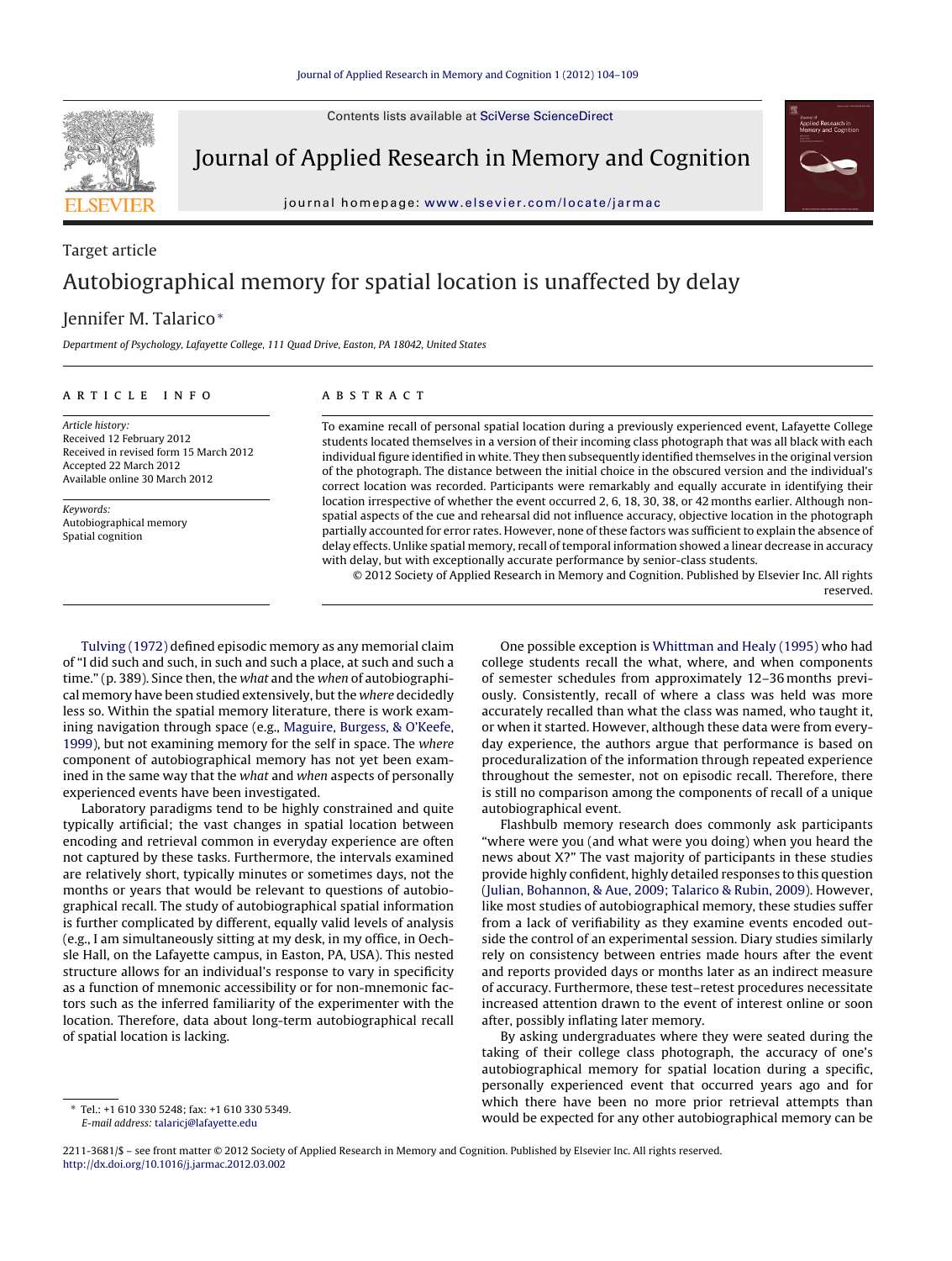Contents lists available at [SciVerse ScienceDirect](http://www.sciencedirect.com/science/journal/22113681)



Journal of Applied Research in Memory and Cognition

journal homepage: [www.elsevier.com/locate/jarmac](http://www.elsevier.com/locate/jarmac)

# Target article Autobiographical memory for spatial location is unaffected by delay

# Jennifer M. Talarico<sup>∗</sup>

Department of Psychology, Lafayette College, 111 Quad Drive, Easton, PA 18042, United States

#### article info

Article history: Received 12 February 2012 Received in revised form 15 March 2012 Accepted 22 March 2012 Available online 30 March 2012

Keywords: Autobiographical memory Spatial cognition

# **ABSTRACT**

To examine recall of personal spatial location during a previously experienced event, Lafayette College students located themselves in a version of their incoming class photograph that was all black with each individual figure identified in white. They then subsequently identified themselves in the original version of the photograph. The distance between the initial choice in the obscured version and the individual's correct location was recorded. Participants were remarkably and equally accurate in identifying their location irrespective of whether the event occurred 2, 6, 18, 30, 38, or 42 months earlier. Although nonspatial aspects of the cue and rehearsal did not influence accuracy, objective location in the photograph partially accounted for error rates. However, none of these factors was sufficient to explain the absence of delay effects. Unlike spatial memory, recall of temporal information showed a linear decrease in accuracy with delay, but with exceptionally accurate performance by senior-class students.

© 2012 Society of Applied Research in Memory and Cognition. Published by Elsevier Inc. All rights reserved.

[Tulving \(1972\)](#page-5-0) defined episodic memory as any memorial claim of "I did such and such, in such and such a place, at such and such a time." (p. 389). Since then, the what and the when of autobiographical memory have been studied extensively, but the where decidedly less so. Within the spatial memory literature, there is work examining navigation through space (e.g., [Maguire, Burgess, & O'Keefe,](#page-5-0) [1999\),](#page-5-0) but not examining memory for the self in space. The where component of autobiographical memory has not yet been examined in the same way that the what and when aspects of personally experienced events have been investigated.

Laboratory paradigms tend to be highly constrained and quite typically artificial; the vast changes in spatial location between encoding and retrieval common in everyday experience are often not captured by these tasks. Furthermore, the intervals examined are relatively short, typically minutes or sometimes days, not the months or years that would be relevant to questions of autobiographical recall. The study of autobiographical spatial information is further complicated by different, equally valid levels of analysis (e.g., I am simultaneously sitting at my desk, in my office, in Oechsle Hall, on the Lafayette campus, in Easton, PA, USA). This nested structure allows for an individual's response to vary in specificity as a function of mnemonic accessibility or for non-mnemonic factors such as the inferred familiarity of the experimenter with the location. Therefore, data about long-term autobiographical recall of spatial location is lacking.

One possible exception is [Whittman and Healy \(1995\)](#page-5-0) who had college students recall the what, where, and when components of semester schedules from approximately 12–36 months previously. Consistently, recall of where a class was held was more accurately recalled than what the class was named, who taught it, or when it started. However, although these data were from everyday experience, the authors argue that performance is based on proceduralization of the information through repeated experience throughout the semester, not on episodic recall. Therefore, there is still no comparison among the components of recall of a unique autobiographical event.

Flashbulb memory research does commonly ask participants "where were you (and what were you doing) when you heard the news about X?" The vast majority of participants in these studies provide highly confident, highly detailed responses to this question [\(Julian, Bohannon, & Aue, 2009; Talarico & Rubin, 2009\).](#page-5-0) However, like most studies of autobiographical memory, these studies suffer from a lack of verifiability as they examine events encoded outside the control of an experimental session. Diary studies similarly rely on consistency between entries made hours after the event and reports provided days or months later as an indirect measure of accuracy. Furthermore, these test–retest procedures necessitate increased attention drawn to the event of interest online or soon after, possibly inflating later memory.

By asking undergraduates where they were seated during the taking of their college class photograph, the accuracy of one's autobiographical memory for spatial location during a specific, personally experienced event that occurred years ago and for which there have been no more prior retrieval attempts than would be expected for any other autobiographical memory can be

<sup>∗</sup> Tel.: +1 610 330 5248; fax: +1 610 330 5349. E-mail address: [talaricj@lafayette.edu](mailto:talaricj@lafayette.edu)

<sup>2211-3681/\$ –</sup> see front matter © 2012 Society of Applied Research in Memory and Cognition. Published by Elsevier Inc. All rights reserved. [http://dx.doi.org/10.1016/j.jarmac.2012.03.002](dx.doi.org/10.1016/j.jarmac.2012.03.002)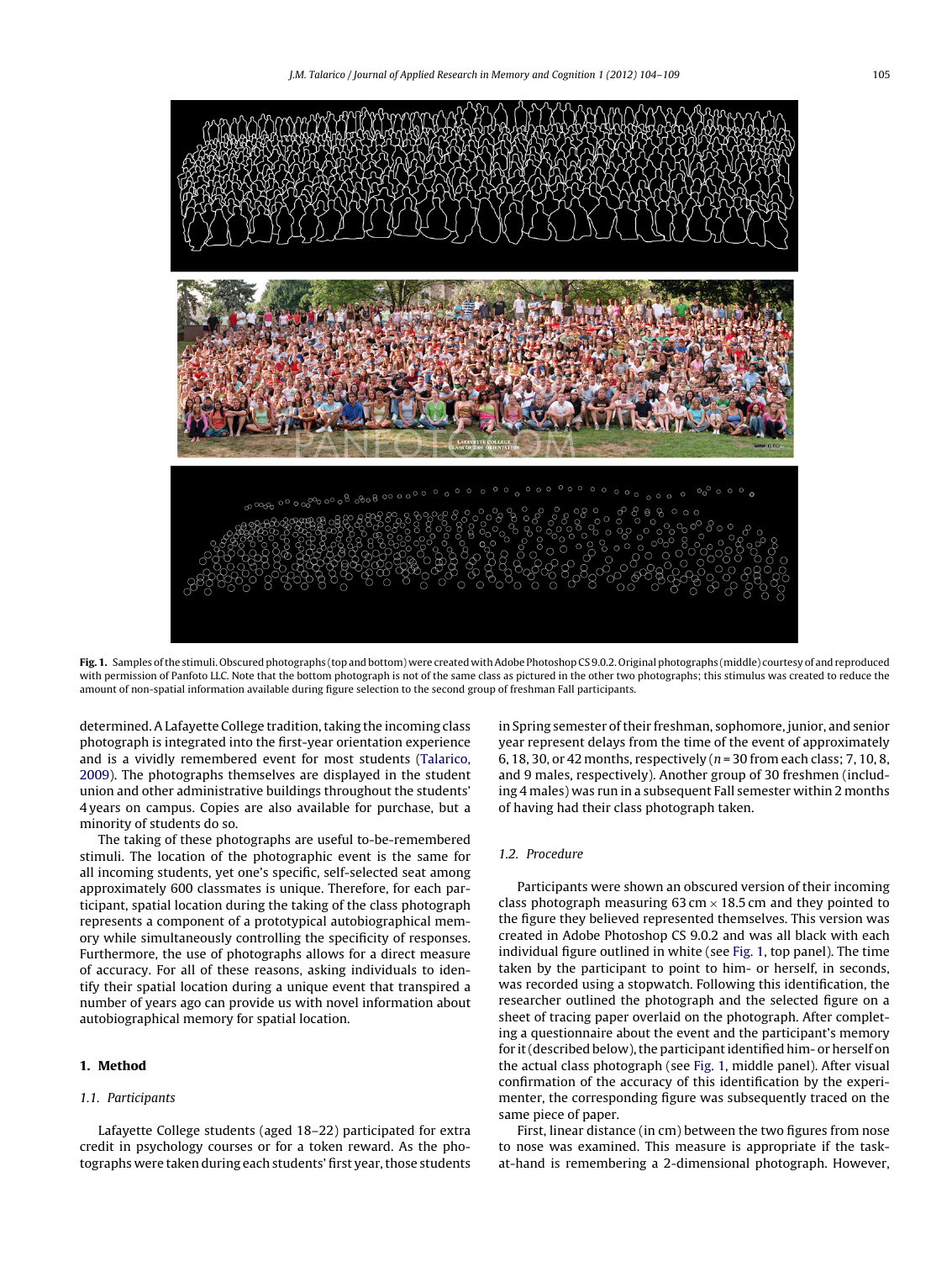<span id="page-1-0"></span>

**Fig. 1.** Samples of the stimuli. Obscured photographs (top and bottom) were created with Adobe Photoshop CS 9.0.2. Original photographs (middle) courtesy of and reproduced with permission of Panfoto LLC. Note that the bottom photograph is not of the same class as pictured in the other two photographs; this stimulus was created to reduce the amount of non-spatial information available during figure selection to the second group of freshman Fall participants.

determined. A Lafayette College tradition, taking the incoming class photograph is integrated into the first-year orientation experience and is a vividly remembered event for most students [\(Talarico,](#page-5-0) [2009\).](#page-5-0) The photographs themselves are displayed in the student union and other administrative buildings throughout the students' 4 years on campus. Copies are also available for purchase, but a minority of students do so.

The taking of these photographs are useful to-be-remembered stimuli. The location of the photographic event is the same for all incoming students, yet one's specific, self-selected seat among approximately 600 classmates is unique. Therefore, for each participant, spatial location during the taking of the class photograph represents a component of a prototypical autobiographical memory while simultaneously controlling the specificity of responses. Furthermore, the use of photographs allows for a direct measure of accuracy. For all of these reasons, asking individuals to identify their spatial location during a unique event that transpired a number of years ago can provide us with novel information about autobiographical memory for spatial location.

#### **1. Method**

## 1.1. Participants

Lafayette College students (aged 18–22) participated for extra credit in psychology courses or for a token reward. As the photographs were taken during each students' first year, those students in Spring semester of their freshman, sophomore, junior, and senior year represent delays from the time of the event of approximately 6, 18, 30, or 42 months, respectively ( $n = 30$  from each class; 7, 10, 8, and 9 males, respectively). Another group of 30 freshmen (including 4 males) was run in a subsequent Fall semester within 2 months of having had their class photograph taken.

# 1.2. Procedure

Participants were shown an obscured version of their incoming class photograph measuring  $63 \text{ cm} \times 18.5 \text{ cm}$  and they pointed to the figure they believed represented themselves. This version was created in Adobe Photoshop CS 9.0.2 and was all black with each individual figure outlined in white (see Fig. 1, top panel). The time taken by the participant to point to him- or herself, in seconds, was recorded using a stopwatch. Following this identification, the researcher outlined the photograph and the selected figure on a sheet of tracing paper overlaid on the photograph. After completing a questionnaire about the event and the participant's memory for it (described below), the participant identified him- or herself on the actual class photograph (see Fig. 1, middle panel). After visual confirmation of the accuracy of this identification by the experimenter, the corresponding figure was subsequently traced on the same piece of paper.

First, linear distance (in cm) between the two figures from nose to nose was examined. This measure is appropriate if the taskat-hand is remembering a 2-dimensional photograph. However,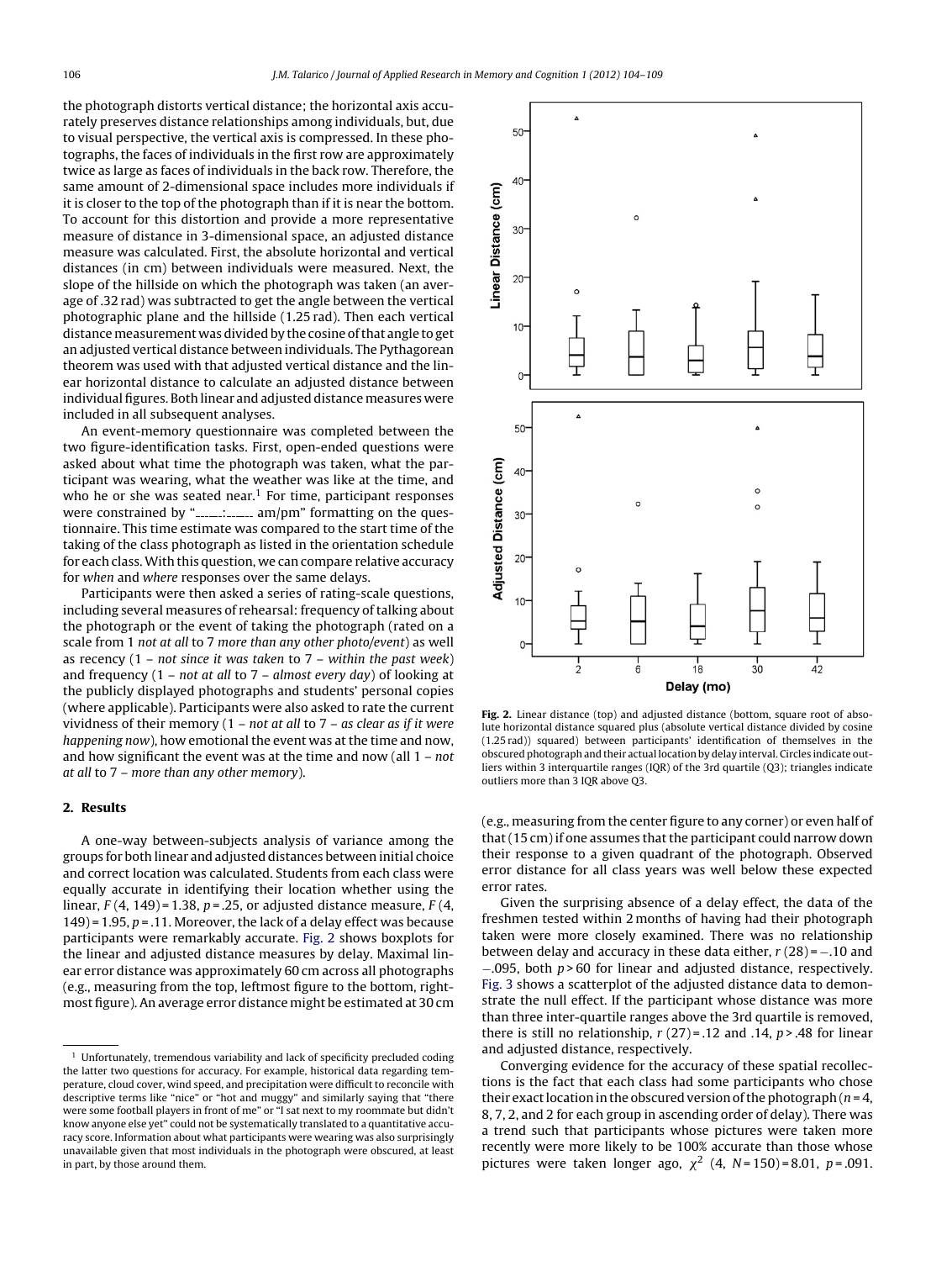the photograph distorts vertical distance; the horizontal axis accurately preserves distance relationships among individuals, but, due to visual perspective, the vertical axis is compressed. In these photographs, the faces of individuals in the first row are approximately twice as large as faces of individuals in the back row. Therefore, the same amount of 2-dimensional space includes more individuals if it is closer to the top of the photograph than if it is near the bottom. To account for this distortion and provide a more representative measure of distance in 3-dimensional space, an adjusted distance measure was calculated. First, the absolute horizontal and vertical distances (in cm) between individuals were measured. Next, the slope of the hillside on which the photograph was taken (an average of .32 rad) was subtracted to get the angle between the vertical photographic plane and the hillside (1.25 rad). Then each vertical distance measurement was divided by the cosine of that angle to get an adjusted vertical distance between individuals. The Pythagorean theorem was used with that adjusted vertical distance and the linear horizontal distance to calculate an adjusted distance between individual figures. Both linear and adjusted distance measures were included in all subsequent analyses.

An event-memory questionnaire was completed between the two figure-identification tasks. First, open-ended questions were asked about what time the photograph was taken, what the participant was wearing, what the weather was like at the time, and who he or she was seated near.<sup>1</sup> For time, participant responses were constrained by ".......:......... am/pm" formatting on the questionnaire. This time estimate was compared to the start time of the taking of the class photograph as listed in the orientation schedule for each class.With this question, we can compare relative accuracy for when and where responses over the same delays.

Participants were then asked a series of rating-scale questions, including several measures of rehearsal: frequency of talking about the photograph or the event of taking the photograph (rated on a scale from 1 not at all to 7 more than any other photo/event) as well as recency  $(1 - not since it was taken to 7 - within the past week)$ and frequency  $(1 - not at all to 7 - almost every day)$  of looking at the publicly displayed photographs and students' personal copies (where applicable). Participants were also asked to rate the current vividness of their memory  $(1 - not at all to 7 - as clear as if it were$ happening now), how emotional the event was at the time and now, and how significant the event was at the time and now (all  $1 - not$ at all to 7 – more than any other memory).

# **2. Results**

A one-way between-subjects analysis of variance among the groups for both linear and adjusted distances between initial choice and correct location was calculated. Students from each class were equally accurate in identifying their location whether using the linear,  $F(4, 149) = 1.38$ ,  $p = 0.25$ , or adjusted distance measure,  $F(4, 149) = 1.38$ 149) = 1.95,  $p = 0.11$ . Moreover, the lack of a delay effect was because participants were remarkably accurate. Fig. 2 shows boxplots for the linear and adjusted distance measures by delay. Maximal linear error distance was approximately 60 cm across all photographs (e.g., measuring from the top, leftmost figure to the bottom, rightmost figure). An average error distance might be estimated at 30 cm



**Fig. 2.** Linear distance (top) and adjusted distance (bottom, square root of absolute horizontal distance squared plus (absolute vertical distance divided by cosine (1.25 rad)) squared) between participants' identification of themselves in the obscured photograph and their actual location by delay interval. Circles indicate outliers within 3 interquartile ranges (IQR) of the 3rd quartile (Q3); triangles indicate outliers more than 3 IQR above Q3.

(e.g., measuring from the center figure to any corner) or even half of that (15 cm) if one assumes that the participant could narrow down their response to a given quadrant of the photograph. Observed error distance for all class years was well below these expected error rates.

Given the surprising absence of a delay effect, the data of the freshmen tested within 2 months of having had their photograph taken were more closely examined. There was no relationship between delay and accuracy in these data either,  $r(28) = -0.10$  and −.095, both p > 60 for linear and adjusted distance, respectively. [Fig. 3](#page-3-0) shows a scatterplot of the adjusted distance data to demonstrate the null effect. If the participant whose distance was more than three inter-quartile ranges above the 3rd quartile is removed, there is still no relationship,  $r(27) = .12$  and  $.14$ ,  $p > .48$  for linear and adjusted distance, respectively.

Converging evidence for the accuracy of these spatial recollections is the fact that each class had some participants who chose their exact location in the obscured version of the photograph ( $n = 4$ , 8, 7, 2, and 2 for each group in ascending order of delay). There was a trend such that participants whose pictures were taken more recently were more likely to be 100% accurate than those whose pictures were taken longer ago,  $\chi^2$  (4, N=150)=8.01, p=.091.

 $1$  Unfortunately, tremendous variability and lack of specificity precluded coding the latter two questions for accuracy. For example, historical data regarding temperature, cloud cover, wind speed, and precipitation were difficult to reconcile with descriptive terms like "nice" or "hot and muggy" and similarly saying that "there were some football players in front of me" or "I sat next to my roommate but didn't know anyone else yet" could not be systematically translated to a quantitative accuracy score. Information about what participants were wearing was also surprisingly unavailable given that most individuals in the photograph were obscured, at least in part, by those around them.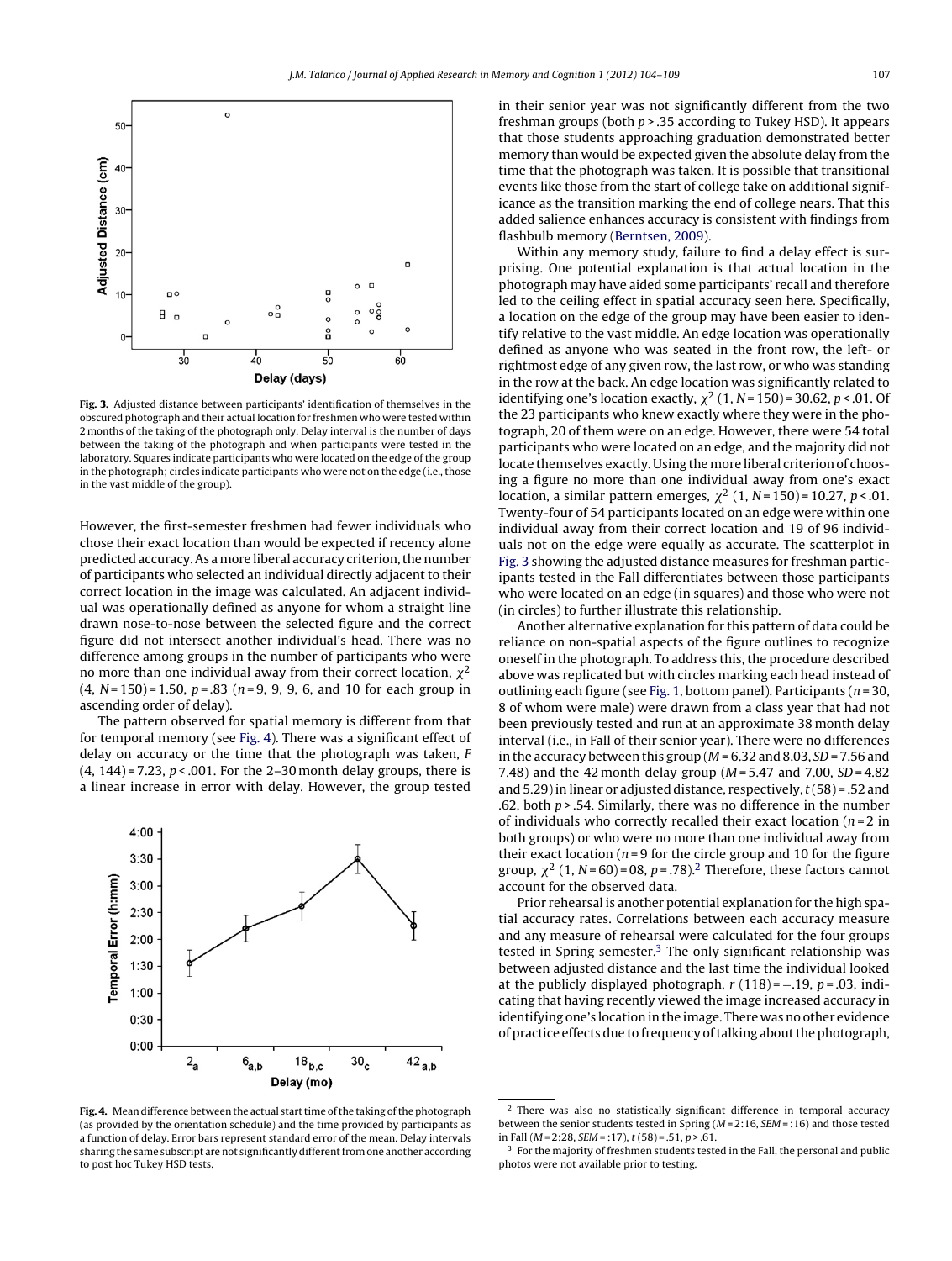<span id="page-3-0"></span>

**Fig. 3.** Adjusted distance between participants' identification of themselves in the obscured photograph and their actual location for freshmen who were tested within 2 months of the taking of the photograph only. Delay interval is the number of days between the taking of the photograph and when participants were tested in the laboratory. Squares indicate participants who were located on the edge of the group in the photograph; circles indicate participants who were not on the edge (i.e., those in the vast middle of the group).

However, the first-semester freshmen had fewer individuals who chose their exact location than would be expected if recency alone predicted accuracy. As amore liberal accuracy criterion, the number of participants who selected an individual directly adjacent to their correct location in the image was calculated. An adjacent individual was operationally defined as anyone for whom a straight line drawn nose-to-nose between the selected figure and the correct figure did not intersect another individual's head. There was no difference among groups in the number of participants who were no more than one individual away from their correct location,  $\chi^2$  $(4, N=150) = 1.50, p=.83$  (n=9, 9, 9, 6, and 10 for each group in ascending order of delay).

The pattern observed for spatial memory is different from that for temporal memory (see Fig. 4). There was a significant effect of delay on accuracy or the time that the photograph was taken, F  $(4, 144)$  = 7.23,  $p < .001$ . For the 2-30 month delay groups, there is a linear increase in error with delay. However, the group tested



**Fig. 4.** Mean difference between the actual start time of the taking of the photograph (as provided by the orientation schedule) and the time provided by participants as a function of delay. Error bars represent standard error of the mean. Delay intervals sharing the same subscript are not significantly different from one another according to post hoc Tukey HSD tests.

in their senior year was not significantly different from the two freshman groups (both  $p > 0.35$  according to Tukey HSD). It appears that those students approaching graduation demonstrated better memory than would be expected given the absolute delay from the time that the photograph was taken. It is possible that transitional events like those from the start of college take on additional significance as the transition marking the end of college nears. That this added salience enhances accuracy is consistent with findings from flashbulb memory [\(Berntsen, 2009\).](#page-5-0)

Within any memory study, failure to find a delay effect is surprising. One potential explanation is that actual location in the photograph may have aided some participants' recall and therefore led to the ceiling effect in spatial accuracy seen here. Specifically, a location on the edge of the group may have been easier to identify relative to the vast middle. An edge location was operationally defined as anyone who was seated in the front row, the left- or rightmost edge of any given row, the last row, or who was standing in the row at the back. An edge location was significantly related to identifying one's location exactly,  $\chi^2$  (1, N = 150) = 30.62, p < .01. Of the 23 participants who knew exactly where they were in the photograph, 20 of them were on an edge. However, there were 54 total participants who were located on an edge, and the majority did not locate themselves exactly. Using the more liberal criterion of choosing a figure no more than one individual away from one's exact location, a similar pattern emerges,  $\chi^2$  (1, N = 150) = 10.27, p < .01. Twenty-four of 54 participants located on an edge were within one individual away from their correct location and 19 of 96 individuals not on the edge were equally as accurate. The scatterplot in Fig. 3 showing the adjusted distance measures for freshman participants tested in the Fall differentiates between those participants who were located on an edge (in squares) and those who were not (in circles) to further illustrate this relationship.

Another alternative explanation for this pattern of data could be reliance on non-spatial aspects of the figure outlines to recognize oneself in the photograph. To address this, the procedure described above was replicated but with circles marking each head instead of outlining each figure (see [Fig. 1, b](#page-1-0)ottom panel). Participants ( $n = 30$ , 8 of whom were male) were drawn from a class year that had not been previously tested and run at an approximate 38 month delay interval (i.e., in Fall of their senior year). There were no differences in the accuracy between this group ( $M = 6.32$  and 8.03, SD = 7.56 and 7.48) and the 42 month delay group ( $M = 5.47$  and 7.00,  $SD = 4.82$ and 5.29) in linear or adjusted distance, respectively,  $t(58)$  = .52 and .62, both  $p > 0.54$ . Similarly, there was no difference in the number of individuals who correctly recalled their exact location ( $n = 2$  in both groups) or who were no more than one individual away from their exact location ( $n = 9$  for the circle group and 10 for the figure group,  $\chi^2$  (1, N = 60) = 08, p = .78).<sup>2</sup> Therefore, these factors cannot account for the observed data.

Prior rehearsal is another potential explanation for the high spatial accuracy rates. Correlations between each accuracy measure and any measure of rehearsal were calculated for the four groups tested in Spring semester.<sup>3</sup> The only significant relationship was between adjusted distance and the last time the individual looked at the publicly displayed photograph,  $r(118) = -.19$ ,  $p = .03$ , indicating that having recently viewed the image increased accuracy in identifying one's location in the image. There was no other evidence of practice effects due to frequency of talking about the photograph,

<sup>&</sup>lt;sup>2</sup> There was also no statistically significant difference in temporal accuracy between the senior students tested in Spring  $(M = 2:16, SEM = :16)$  and those tested in Fall ( $M = 2:28$ ,  $SEM = 17$ ),  $t(58) = .51$ ,  $p > .61$ .

<sup>3</sup> For the majority of freshmen students tested in the Fall, the personal and public photos were not available prior to testing.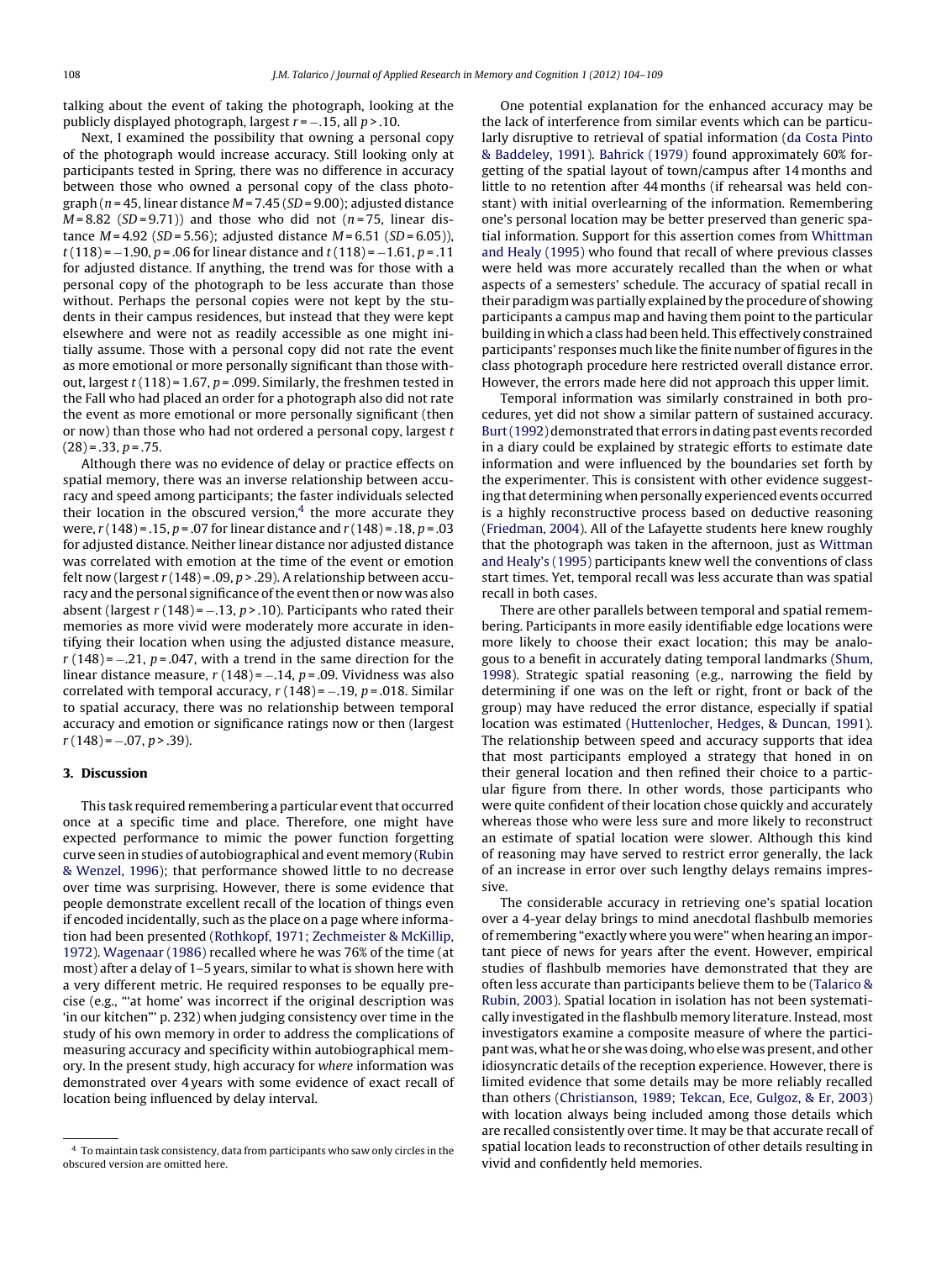talking about the event of taking the photograph, looking at the publicly displayed photograph, largest  $r = -0.15$ , all  $p > 0.10$ .

Next, I examined the possibility that owning a personal copy of the photograph would increase accuracy. Still looking only at participants tested in Spring, there was no difference in accuracy between those who owned a personal copy of the class photograph ( $n = 45$ , linear distance  $M = 7.45$  (SD = 9.00); adjusted distance  $M = 8.82$  (SD = 9.71)) and those who did not (n = 75, linear distance  $M = 4.92$  (SD = 5.56); adjusted distance  $M = 6.51$  (SD = 6.05)),  $t(118) = -1.90$ , p = .06 for linear distance and  $t(118) = -1.61$ , p = .11 for adjusted distance. If anything, the trend was for those with a personal copy of the photograph to be less accurate than those without. Perhaps the personal copies were not kept by the students in their campus residences, but instead that they were kept elsewhere and were not as readily accessible as one might initially assume. Those with a personal copy did not rate the event as more emotional or more personally significant than those without, largest  $t(118) = 1.67$ ,  $p = .099$ . Similarly, the freshmen tested in the Fall who had placed an order for a photograph also did not rate the event as more emotional or more personally significant (then or now) than those who had not ordered a personal copy, largest t  $(28) = .33, p = .75.$ 

Although there was no evidence of delay or practice effects on spatial memory, there was an inverse relationship between accuracy and speed among participants; the faster individuals selected their location in the obscured version, $4$  the more accurate they were,  $r(148) = .15$ ,  $p = .07$  for linear distance and  $r(148) = .18$ ,  $p = .03$ for adjusted distance. Neither linear distance nor adjusted distance was correlated with emotion at the time of the event or emotion felt now (largest  $r(148) = .09$ ,  $p > .29$ ). A relationship between accuracy and the personal significance of the event then or now was also absent (largest  $r(148) = -.13$ ,  $p > .10$ ). Participants who rated their memories as more vivid were moderately more accurate in identifying their location when using the adjusted distance measure,  $r(148) = -.21$ ,  $p = .047$ , with a trend in the same direction for the linear distance measure,  $r(148) = -.14$ ,  $p = .09$ . Vividness was also correlated with temporal accuracy,  $r(148) = -.19$ ,  $p = .018$ . Similar to spatial accuracy, there was no relationship between temporal accuracy and emotion or significance ratings now or then (largest  $r(148) = -.07, p > .39$ ).

### **3. Discussion**

This task required remembering a particular event that occurred once at a specific time and place. Therefore, one might have expected performance to mimic the power function forgetting curve seen in studies of autobiographical and event memory [\(Rubin](#page-5-0) [& Wenzel, 1996\);](#page-5-0) that performance showed little to no decrease over time was surprising. However, there is some evidence that people demonstrate excellent recall of the location of things even if encoded incidentally, such as the place on a page where information had been presented [\(Rothkopf, 1971; Zechmeister & McKillip,](#page-5-0) [1972\).](#page-5-0) [Wagenaar \(1986\)](#page-5-0) recalled where he was 76% of the time (at most) after a delay of 1–5 years, similar to what is shown here with a very different metric. He required responses to be equally precise (e.g., "'at home' was incorrect if the original description was 'in our kitchen"' p. 232) when judging consistency over time in the study of his own memory in order to address the complications of measuring accuracy and specificity within autobiographical memory. In the present study, high accuracy for where information was demonstrated over 4 years with some evidence of exact recall of location being influenced by delay interval.

One potential explanation for the enhanced accuracy may be the lack of interference from similar events which can be particularly disruptive to retrieval of spatial information ([da Costa Pinto](#page-5-0) [& Baddeley, 1991\).](#page-5-0) [Bahrick \(1979\)](#page-5-0) found approximately 60% forgetting of the spatial layout of town/campus after 14 months and little to no retention after 44 months (if rehearsal was held constant) with initial overlearning of the information. Remembering one's personal location may be better preserved than generic spatial information. Support for this assertion comes from [Whittman](#page-5-0) [and Healy \(1995\)](#page-5-0) who found that recall of where previous classes were held was more accurately recalled than the when or what aspects of a semesters' schedule. The accuracy of spatial recall in their paradigm was partially explained by the procedure of showing participants a campus map and having them point to the particular building in which a class had been held. This effectively constrained participants' responses much like the finite number of figures in the class photograph procedure here restricted overall distance error. However, the errors made here did not approach this upper limit.

Temporal information was similarly constrained in both procedures, yet did not show a similar pattern of sustained accuracy. Burt (1992) demonstrated that errors in dating past events recorded in a diary could be explained by strategic efforts to estimate date information and were influenced by the boundaries set forth by the experimenter. This is consistent with other evidence suggesting that determining when personally experienced events occurred is a highly reconstructive process based on deductive reasoning [\(Friedman, 2004\).](#page-5-0) All of the Lafayette students here knew roughly that the photograph was taken in the afternoon, just as [Wittman](#page-5-0) [and Healy's \(1995\)](#page-5-0) participants knew well the conventions of class start times. Yet, temporal recall was less accurate than was spatial recall in both cases.

There are other parallels between temporal and spatial remembering. Participants in more easily identifiable edge locations were more likely to choose their exact location; this may be analogous to a benefit in accurately dating temporal landmarks ([Shum,](#page-5-0) [1998\).](#page-5-0) Strategic spatial reasoning (e.g., narrowing the field by determining if one was on the left or right, front or back of the group) may have reduced the error distance, especially if spatial location was estimated [\(Huttenlocher, Hedges, & Duncan, 1991\).](#page-5-0) The relationship between speed and accuracy supports that idea that most participants employed a strategy that honed in on their general location and then refined their choice to a particular figure from there. In other words, those participants who were quite confident of their location chose quickly and accurately whereas those who were less sure and more likely to reconstruct an estimate of spatial location were slower. Although this kind of reasoning may have served to restrict error generally, the lack of an increase in error over such lengthy delays remains impressive.

The considerable accuracy in retrieving one's spatial location over a 4-year delay brings to mind anecdotal flashbulb memories of remembering "exactly where you were" when hearing an important piece of news for years after the event. However, empirical studies of flashbulb memories have demonstrated that they are often less accurate than participants believe them to be [\(Talarico &](#page-5-0) [Rubin, 2003\).](#page-5-0) Spatial location in isolation has not been systematically investigated in the flashbulb memory literature. Instead, most investigators examine a composite measure of where the participant was, what he or she was doing, who else was present, and other idiosyncratic details of the reception experience. However, there is limited evidence that some details may be more reliably recalled than others ([Christianson, 1989; Tekcan, Ece, Gulgoz, & Er, 2003\)](#page-5-0) with location always being included among those details which are recalled consistently over time. It may be that accurate recall of spatial location leads to reconstruction of other details resulting in vivid and confidently held memories.

<sup>4</sup> To maintain task consistency, data from participants who saw only circles in the obscured version are omitted here.